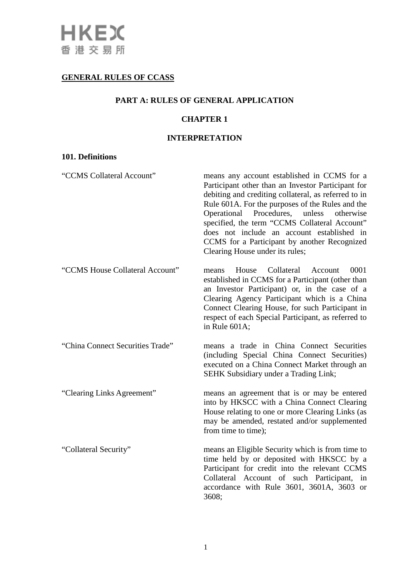# **GENERAL RULES OF CCASS**

## **PART A: RULES OF GENERAL APPLICATION**

# **CHAPTER 1**

## **INTERPRETATION**

## **101. Definitions**

| "CCMS Collateral Account"        | means any account established in CCMS for a<br>Participant other than an Investor Participant for<br>debiting and crediting collateral, as referred to in<br>Rule 601A. For the purposes of the Rules and the<br>Operational Procedures, unless<br>otherwise<br>specified, the term "CCMS Collateral Account"<br>does not include an account established in<br>CCMS for a Participant by another Recognized<br>Clearing House under its rules; |
|----------------------------------|------------------------------------------------------------------------------------------------------------------------------------------------------------------------------------------------------------------------------------------------------------------------------------------------------------------------------------------------------------------------------------------------------------------------------------------------|
| "CCMS House Collateral Account"  | Collateral<br>0001<br>House<br>Account<br>means<br>established in CCMS for a Participant (other than<br>an Investor Participant) or, in the case of a<br>Clearing Agency Participant which is a China<br>Connect Clearing House, for such Participant in<br>respect of each Special Participant, as referred to<br>in Rule 601A;                                                                                                               |
| "China Connect Securities Trade" | means a trade in China Connect Securities<br>(including Special China Connect Securities)<br>executed on a China Connect Market through an<br><b>SEHK Subsidiary under a Trading Link;</b>                                                                                                                                                                                                                                                     |
| "Clearing Links Agreement"       | means an agreement that is or may be entered<br>into by HKSCC with a China Connect Clearing<br>House relating to one or more Clearing Links (as<br>may be amended, restated and/or supplemented<br>from time to time);                                                                                                                                                                                                                         |
| "Collateral Security"            | means an Eligible Security which is from time to<br>time held by or deposited with HKSCC by a<br>Participant for credit into the relevant CCMS<br>Collateral Account of such Participant,<br>in<br>accordance with Rule 3601, 3601A, 3603 or<br>3608;                                                                                                                                                                                          |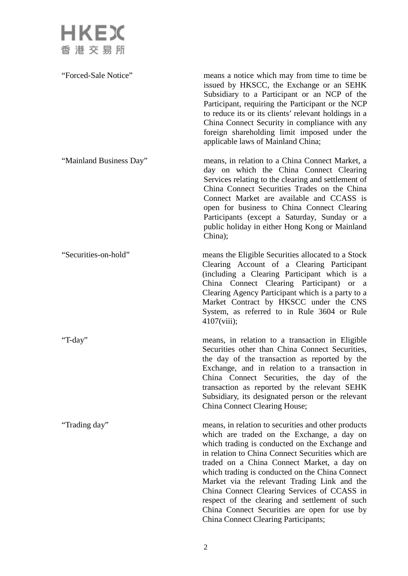

"Forced-Sale Notice" means a notice which may from time to time be issued by HKSCC, the Exchange or an SEHK Subsidiary to a Participant or an NCP of the Participant, requiring the Participant or the NCP to reduce its or its clients' relevant holdings in a China Connect Security in compliance with any foreign shareholding limit imposed under the applicable laws of Mainland China; "Mainland Business Day" means, in relation to a China Connect Market, a day on which the China Connect Clearing Services relating to the clearing and settlement of China Connect Securities Trades on the China Connect Market are available and CCASS is open for business to China Connect Clearing Participants (except a Saturday, Sunday or a public holiday in either Hong Kong or Mainland China); "Securities-on-hold" means the Eligible Securities allocated to a Stock Clearing Account of a Clearing Participant (including a Clearing Participant which is a China Connect Clearing Participant) or a Clearing Agency Participant which is a party to a Market Contract by HKSCC under the CNS System, as referred to in Rule 3604 or Rule 4107(viii); "T-day" means, in relation to a transaction in Eligible Securities other than China Connect Securities, the day of the transaction as reported by the Exchange, and in relation to a transaction in China Connect Securities, the day of the transaction as reported by the relevant SEHK Subsidiary, its designated person or the relevant China Connect Clearing House; "Trading day" means, in relation to securities and other products which are traded on the Exchange, a day on which trading is conducted on the Exchange and in relation to China Connect Securities which are traded on a China Connect Market, a day on which trading is conducted on the China Connect Market via the relevant Trading Link and the China Connect Clearing Services of CCASS in respect of the clearing and settlement of such China Connect Securities are open for use by

China Connect Clearing Participants;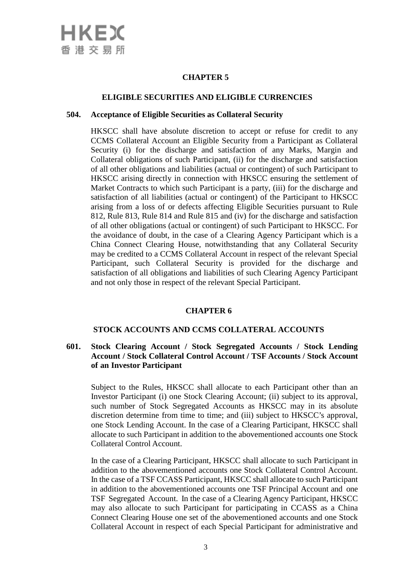

#### **ELIGIBLE SECURITIES AND ELIGIBLE CURRENCIES**

#### **504. Acceptance of Eligible Securities as Collateral Security**

HKSCC shall have absolute discretion to accept or refuse for credit to any CCMS Collateral Account an Eligible Security from a Participant as Collateral Security (i) for the discharge and satisfaction of any Marks, Margin and Collateral obligations of such Participant, (ii) for the discharge and satisfaction of all other obligations and liabilities (actual or contingent) of such Participant to HKSCC arising directly in connection with HKSCC ensuring the settlement of Market Contracts to which such Participant is a party, (iii) for the discharge and satisfaction of all liabilities (actual or contingent) of the Participant to HKSCC arising from a loss of or defects affecting Eligible Securities pursuant to Rule 812, Rule 813, Rule 814 and Rule 815 and (iv) for the discharge and satisfaction of all other obligations (actual or contingent) of such Participant to HKSCC. For the avoidance of doubt, in the case of a Clearing Agency Participant which is a China Connect Clearing House, notwithstanding that any Collateral Security may be credited to a CCMS Collateral Account in respect of the relevant Special Participant, such Collateral Security is provided for the discharge and satisfaction of all obligations and liabilities of such Clearing Agency Participant and not only those in respect of the relevant Special Participant.

## **CHAPTER 6**

#### **STOCK ACCOUNTS AND CCMS COLLATERAL ACCOUNTS**

## **601. Stock Clearing Account / Stock Segregated Accounts / Stock Lending Account / Stock Collateral Control Account / TSF Accounts / Stock Account of an Investor Participant**

Subject to the Rules, HKSCC shall allocate to each Participant other than an Investor Participant (i) one Stock Clearing Account; (ii) subject to its approval, such number of Stock Segregated Accounts as HKSCC may in its absolute discretion determine from time to time; and (iii) subject to HKSCC's approval, one Stock Lending Account. In the case of a Clearing Participant, HKSCC shall allocate to such Participant in addition to the abovementioned accounts one Stock Collateral Control Account.

In the case of a Clearing Participant, HKSCC shall allocate to such Participant in addition to the abovementioned accounts one Stock Collateral Control Account. In the case of a TSF CCASS Participant, HKSCC shall allocate to such Participant in addition to the abovementioned accounts one TSF Principal Account and one TSF Segregated Account. In the case of a Clearing Agency Participant, HKSCC may also allocate to such Participant for participating in CCASS as a China Connect Clearing House one set of the abovementioned accounts and one Stock Collateral Account in respect of each Special Participant for administrative and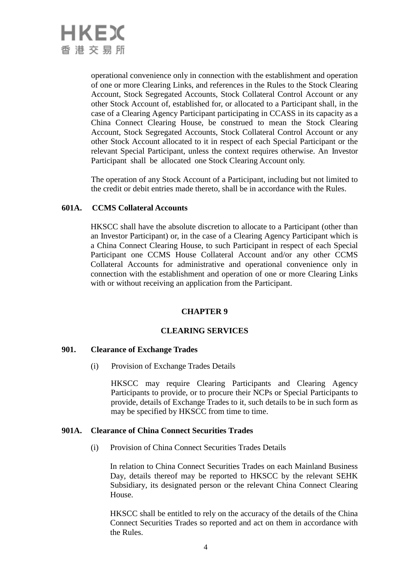

operational convenience only in connection with the establishment and operation of one or more Clearing Links, and references in the Rules to the Stock Clearing Account, Stock Segregated Accounts, Stock Collateral Control Account or any other Stock Account of, established for, or allocated to a Participant shall, in the case of a Clearing Agency Participant participating in CCASS in its capacity as a China Connect Clearing House, be construed to mean the Stock Clearing Account, Stock Segregated Accounts, Stock Collateral Control Account or any other Stock Account allocated to it in respect of each Special Participant or the relevant Special Participant, unless the context requires otherwise. An Investor Participant shall be allocated one Stock Clearing Account only.

The operation of any Stock Account of a Participant, including but not limited to the credit or debit entries made thereto, shall be in accordance with the Rules.

#### **601A. CCMS Collateral Accounts**

HKSCC shall have the absolute discretion to allocate to a Participant (other than an Investor Participant) or, in the case of a Clearing Agency Participant which is a China Connect Clearing House, to such Participant in respect of each Special Participant one CCMS House Collateral Account and/or any other CCMS Collateral Accounts for administrative and operational convenience only in connection with the establishment and operation of one or more Clearing Links with or without receiving an application from the Participant.

#### **CHAPTER 9**

#### **CLEARING SERVICES**

#### **901. Clearance of Exchange Trades**

(i) Provision of Exchange Trades Details

HKSCC may require Clearing Participants and Clearing Agency Participants to provide, or to procure their NCPs or Special Participants to provide, details of Exchange Trades to it, such details to be in such form as may be specified by HKSCC from time to time.

#### **901A. Clearance of China Connect Securities Trades**

(i) Provision of China Connect Securities Trades Details

In relation to China Connect Securities Trades on each Mainland Business Day, details thereof may be reported to HKSCC by the relevant SEHK Subsidiary, its designated person or the relevant China Connect Clearing House.

HKSCC shall be entitled to rely on the accuracy of the details of the China Connect Securities Trades so reported and act on them in accordance with the Rules.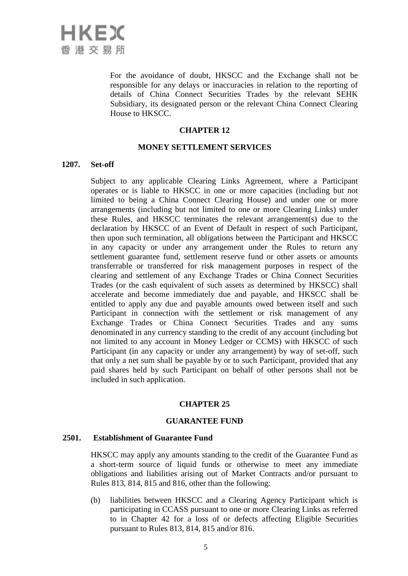

For the avoidance of doubt, HKSCC and the Exchange shall not be responsible for any delays or inaccuracies in relation to the reporting of details of China Connect Securities Trades by the relevant SEHK Subsidiary, its designated person or the relevant China Connect Clearing House to HKSCC.

#### **CHAPTER 12**

#### **MONEY SETTLEMENT SERVICES**

#### **1207. Set-off**

Subject to any applicable Clearing Links Agreement, where a Participant operates or is liable to HKSCC in one or more capacities (including but not limited to being a China Connect Clearing House) and under one or more arrangements (including but not limited to one or more Clearing Links) under these Rules, and HKSCC terminates the relevant arrangement(s) due to the declaration by HKSCC of an Event of Default in respect of such Participant, then upon such termination, all obligations between the Participant and HKSCC in any capacity or under any arrangement under the Rules to return any settlement guarantee fund, settlement reserve fund or other assets or amounts transferrable or transferred for risk management purposes in respect of the clearing and settlement of any Exchange Trades or China Connect Securities Trades (or the cash equivalent of such assets as determined by HKSCC) shall accelerate and become immediately due and payable, and HKSCC shall be entitled to apply any due and payable amounts owed between itself and such Participant in connection with the settlement or risk management of any Exchange Trades or China Connect Securities Trades and any sums denominated in any currency standing to the credit of any account (including but not limited to any account in Money Ledger or CCMS) with HKSCC of such Participant (in any capacity or under any arrangement) by way of set-off, such that only a net sum shall be payable by or to such Participant, provided that any paid shares held by such Participant on behalf of other persons shall not be included in such application.

#### **CHAPTER 25**

#### **GUARANTEE FUND**

#### **2501. Establishment of Guarantee Fund**

HKSCC may apply any amounts standing to the credit of the Guarantee Fund as a short-term source of liquid funds or otherwise to meet any immediate obligations and liabilities arising out of Market Contracts and/or pursuant to Rules 813, 814, 815 and 816, other than the following:

(b) liabilities between HKSCC and a Clearing Agency Participant which is participating in CCASS pursuant to one or more Clearing Links as referred to in Chapter 42 for a loss of or defects affecting Eligible Securities pursuant to Rules 813, 814, 815 and/or 816.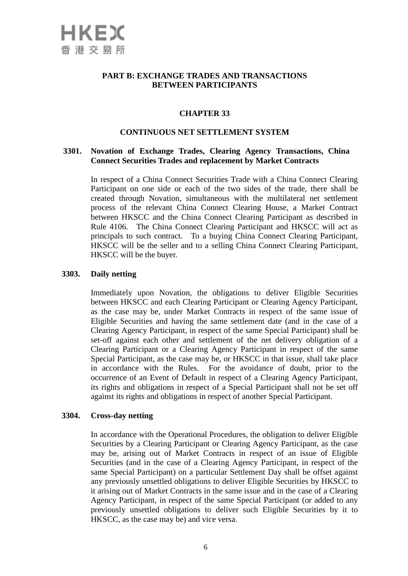

## **PART B: EXCHANGE TRADES AND TRANSACTIONS BETWEEN PARTICIPANTS**

## **CHAPTER 33**

## **CONTINUOUS NET SETTLEMENT SYSTEM**

#### **3301. Novation of Exchange Trades, Clearing Agency Transactions, China Connect Securities Trades and replacement by Market Contracts**

In respect of a China Connect Securities Trade with a China Connect Clearing Participant on one side or each of the two sides of the trade, there shall be created through Novation, simultaneous with the multilateral net settlement process of the relevant China Connect Clearing House, a Market Contract between HKSCC and the China Connect Clearing Participant as described in Rule 4106. The China Connect Clearing Participant and HKSCC will act as principals to such contract. To a buying China Connect Clearing Participant, HKSCC will be the seller and to a selling China Connect Clearing Participant, HKSCC will be the buyer.

#### **3303. Daily netting**

Immediately upon Novation, the obligations to deliver Eligible Securities between HKSCC and each Clearing Participant or Clearing Agency Participant, as the case may be, under Market Contracts in respect of the same issue of Eligible Securities and having the same settlement date (and in the case of a Clearing Agency Participant, in respect of the same Special Participant) shall be set-off against each other and settlement of the net delivery obligation of a Clearing Participant or a Clearing Agency Participant in respect of the same Special Participant, as the case may be, or HKSCC in that issue, shall take place in accordance with the Rules. For the avoidance of doubt, prior to the occurrence of an Event of Default in respect of a Clearing Agency Participant, its rights and obligations in respect of a Special Participant shall not be set off against its rights and obligations in respect of another Special Participant.

#### **3304. Cross-day netting**

In accordance with the Operational Procedures, the obligation to deliver Eligible Securities by a Clearing Participant or Clearing Agency Participant, as the case may be, arising out of Market Contracts in respect of an issue of Eligible Securities (and in the case of a Clearing Agency Participant, in respect of the same Special Participant) on a particular Settlement Day shall be offset against any previously unsettled obligations to deliver Eligible Securities by HKSCC to it arising out of Market Contracts in the same issue and in the case of a Clearing Agency Participant, in respect of the same Special Participant (or added to any previously unsettled obligations to deliver such Eligible Securities by it to HKSCC, as the case may be) and vice versa.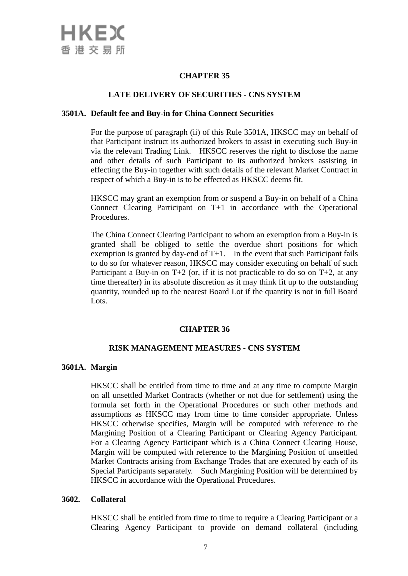

## **LATE DELIVERY OF SECURITIES - CNS SYSTEM**

#### **3501A. Default fee and Buy-in for China Connect Securities**

For the purpose of paragraph (ii) of this Rule 3501A, HKSCC may on behalf of that Participant instruct its authorized brokers to assist in executing such Buy-in via the relevant Trading Link. HKSCC reserves the right to disclose the name and other details of such Participant to its authorized brokers assisting in effecting the Buy-in together with such details of the relevant Market Contract in respect of which a Buy-in is to be effected as HKSCC deems fit.

HKSCC may grant an exemption from or suspend a Buy-in on behalf of a China Connect Clearing Participant on T+1 in accordance with the Operational Procedures.

The China Connect Clearing Participant to whom an exemption from a Buy-in is granted shall be obliged to settle the overdue short positions for which exemption is granted by day-end of  $T+1$ . In the event that such Participant fails to do so for whatever reason, HKSCC may consider executing on behalf of such Participant a Buy-in on  $T+2$  (or, if it is not practicable to do so on  $T+2$ , at any time thereafter) in its absolute discretion as it may think fit up to the outstanding quantity, rounded up to the nearest Board Lot if the quantity is not in full Board Lots.

#### **CHAPTER 36**

#### **RISK MANAGEMENT MEASURES - CNS SYSTEM**

#### **3601A. Margin**

HKSCC shall be entitled from time to time and at any time to compute Margin on all unsettled Market Contracts (whether or not due for settlement) using the formula set forth in the Operational Procedures or such other methods and assumptions as HKSCC may from time to time consider appropriate. Unless HKSCC otherwise specifies, Margin will be computed with reference to the Margining Position of a Clearing Participant or Clearing Agency Participant. For a Clearing Agency Participant which is a China Connect Clearing House, Margin will be computed with reference to the Margining Position of unsettled Market Contracts arising from Exchange Trades that are executed by each of its Special Participants separately. Such Margining Position will be determined by HKSCC in accordance with the Operational Procedures.

#### **3602. Collateral**

HKSCC shall be entitled from time to time to require a Clearing Participant or a Clearing Agency Participant to provide on demand collateral (including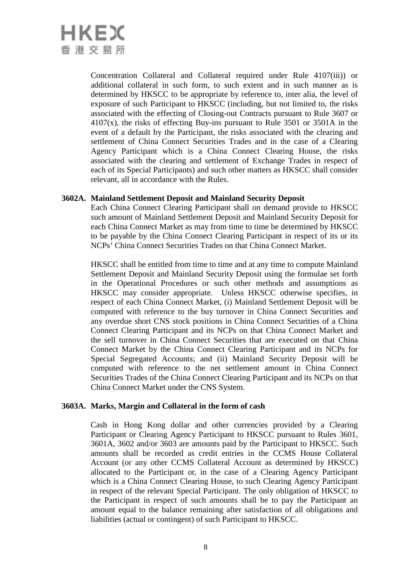# HKEX 香港交易所

Concentration Collateral and Collateral required under Rule 4107(iii)) or additional collateral in such form, to such extent and in such manner as is determined by HKSCC to be appropriate by reference to, inter alia, the level of exposure of such Participant to HKSCC (including, but not limited to, the risks associated with the effecting of Closing-out Contracts pursuant to Rule 3607 or  $4107(x)$ , the risks of effecting Buy-ins pursuant to Rule 3501 or 3501A in the event of a default by the Participant, the risks associated with the clearing and settlement of China Connect Securities Trades and in the case of a Clearing Agency Participant which is a China Connect Clearing House, the risks associated with the clearing and settlement of Exchange Trades in respect of each of its Special Participants) and such other matters as HKSCC shall consider relevant, all in accordance with the Rules.

## **3602A. Mainland Settlement Deposit and Mainland Security Deposit**

Each China Connect Clearing Participant shall on demand provide to HKSCC such amount of Mainland Settlement Deposit and Mainland Security Deposit for each China Connect Market as may from time to time be determined by HKSCC to be payable by the China Connect Clearing Participant in respect of its or its NCPs' China Connect Securities Trades on that China Connect Market.

HKSCC shall be entitled from time to time and at any time to compute Mainland Settlement Deposit and Mainland Security Deposit using the formulae set forth in the Operational Procedures or such other methods and assumptions as HKSCC may consider appropriate. Unless HKSCC otherwise specifies, in respect of each China Connect Market, (i) Mainland Settlement Deposit will be computed with reference to the buy turnover in China Connect Securities and any overdue short CNS stock positions in China Connect Securities of a China Connect Clearing Participant and its NCPs on that China Connect Market and the sell turnover in China Connect Securities that are executed on that China Connect Market by the China Connect Clearing Participant and its NCPs for Special Segregated Accounts; and (ii) Mainland Security Deposit will be computed with reference to the net settlement amount in China Connect Securities Trades of the China Connect Clearing Participant and its NCPs on that China Connect Market under the CNS System.

# **3603A. Marks, Margin and Collateral in the form of cash**

Cash in Hong Kong dollar and other currencies provided by a Clearing Participant or Clearing Agency Participant to HKSCC pursuant to Rules 3601, 3601A, 3602 and/or 3603 are amounts paid by the Participant to HKSCC. Such amounts shall be recorded as credit entries in the CCMS House Collateral Account (or any other CCMS Collateral Account as determined by HKSCC) allocated to the Participant or, in the case of a Clearing Agency Participant which is a China Connect Clearing House, to such Clearing Agency Participant in respect of the relevant Special Participant. The only obligation of HKSCC to the Participant in respect of such amounts shall be to pay the Participant an amount equal to the balance remaining after satisfaction of all obligations and liabilities (actual or contingent) of such Participant to HKSCC.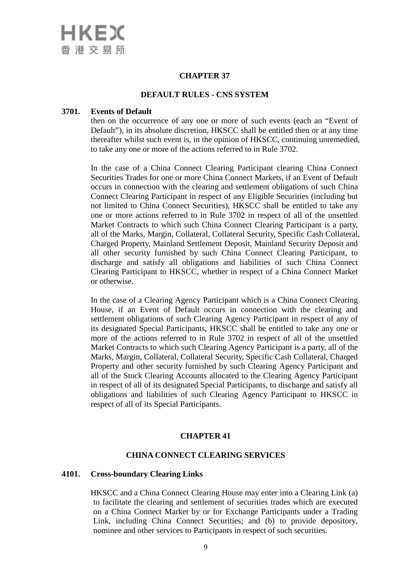

#### **DEFAULT RULES - CNS SYSTEM**

#### **3701. Events of Default**

then on the occurrence of any one or more of such events (each an "Event of Default"), in its absolute discretion, HKSCC shall be entitled then or at any time thereafter whilst such event is, in the opinion of HKSCC, continuing unremedied, to take any one or more of the actions referred to in Rule 3702.

In the case of a China Connect Clearing Participant clearing China Connect Securities Trades for one or more China Connect Markets, if an Event of Default occurs in connection with the clearing and settlement obligations of such China Connect Clearing Participant in respect of any Eligible Securities (including but not limited to China Connect Securities), HKSCC shall be entitled to take any one or more actions referred to in Rule 3702 in respect of all of the unsettled Market Contracts to which such China Connect Clearing Participant is a party, all of the Marks, Margin, Collateral, Collateral Security, Specific Cash Collateral, Charged Property, Mainland Settlement Deposit, Mainland Security Deposit and all other security furnished by such China Connect Clearing Participant, to discharge and satisfy all obligations and liabilities of such China Connect Clearing Participant to HKSCC, whether in respect of a China Connect Market or otherwise.

In the case of a Clearing Agency Participant which is a China Connect Clearing House, if an Event of Default occurs in connection with the clearing and settlement obligations of such Clearing Agency Participant in respect of any of its designated Special Participants, HKSCC shall be entitled to take any one or more of the actions referred to in Rule 3702 in respect of all of the unsettled Market Contracts to which such Clearing Agency Participant is a party, all of the Marks, Margin, Collateral, Collateral Security, Specific Cash Collateral, Charged Property and other security furnished by such Clearing Agency Participant and all of the Stock Clearing Accounts allocated to the Clearing Agency Participant in respect of all of its designated Special Participants, to discharge and satisfy all obligations and liabilities of such Clearing Agency Participant to HKSCC in respect of all of its Special Participants.

#### **CHAPTER 41**

#### **CHINA CONNECT CLEARING SERVICES**

#### **4101. Cross-boundary Clearing Links**

HKSCC and a China Connect Clearing House may enter into a Clearing Link (a) to facilitate the clearing and settlement of securities trades which are executed on a China Connect Market by or for Exchange Participants under a Trading Link, including China Connect Securities; and (b) to provide depository, nominee and other services to Participants in respect of such securities.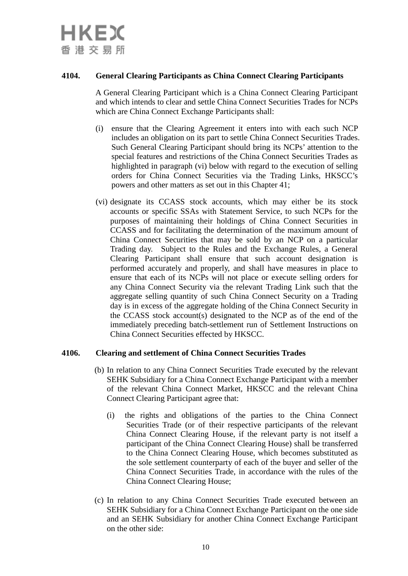

# **4104. General Clearing Participants as China Connect Clearing Participants**

A General Clearing Participant which is a China Connect Clearing Participant and which intends to clear and settle China Connect Securities Trades for NCPs which are China Connect Exchange Participants shall:

- (i) ensure that the Clearing Agreement it enters into with each such NCP includes an obligation on its part to settle China Connect Securities Trades. Such General Clearing Participant should bring its NCPs' attention to the special features and restrictions of the China Connect Securities Trades as highlighted in paragraph (vi) below with regard to the execution of selling orders for China Connect Securities via the Trading Links, HKSCC's powers and other matters as set out in this Chapter 41;
- (vi) designate its CCASS stock accounts, which may either be its stock accounts or specific SSAs with Statement Service, to such NCPs for the purposes of maintaining their holdings of China Connect Securities in CCASS and for facilitating the determination of the maximum amount of China Connect Securities that may be sold by an NCP on a particular Trading day. Subject to the Rules and the Exchange Rules, a General Clearing Participant shall ensure that such account designation is performed accurately and properly, and shall have measures in place to ensure that each of its NCPs will not place or execute selling orders for any China Connect Security via the relevant Trading Link such that the aggregate selling quantity of such China Connect Security on a Trading day is in excess of the aggregate holding of the China Connect Security in the CCASS stock account(s) designated to the NCP as of the end of the immediately preceding batch-settlement run of Settlement Instructions on China Connect Securities effected by HKSCC.

#### **4106. Clearing and settlement of China Connect Securities Trades**

- (b) In relation to any China Connect Securities Trade executed by the relevant SEHK Subsidiary for a China Connect Exchange Participant with a member of the relevant China Connect Market, HKSCC and the relevant China Connect Clearing Participant agree that:
	- (i) the rights and obligations of the parties to the China Connect Securities Trade (or of their respective participants of the relevant China Connect Clearing House, if the relevant party is not itself a participant of the China Connect Clearing House) shall be transferred to the China Connect Clearing House, which becomes substituted as the sole settlement counterparty of each of the buyer and seller of the China Connect Securities Trade, in accordance with the rules of the China Connect Clearing House;
- (c) In relation to any China Connect Securities Trade executed between an SEHK Subsidiary for a China Connect Exchange Participant on the one side and an SEHK Subsidiary for another China Connect Exchange Participant on the other side: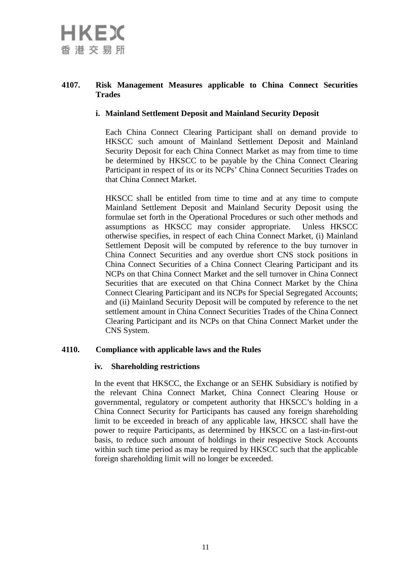# **4107. Risk Management Measures applicable to China Connect Securities Trades**

# **i. Mainland Settlement Deposit and Mainland Security Deposit**

Each China Connect Clearing Participant shall on demand provide to HKSCC such amount of Mainland Settlement Deposit and Mainland Security Deposit for each China Connect Market as may from time to time be determined by HKSCC to be payable by the China Connect Clearing Participant in respect of its or its NCPs' China Connect Securities Trades on that China Connect Market.

HKSCC shall be entitled from time to time and at any time to compute Mainland Settlement Deposit and Mainland Security Deposit using the formulae set forth in the Operational Procedures or such other methods and assumptions as HKSCC may consider appropriate. Unless HKSCC otherwise specifies, in respect of each China Connect Market, (i) Mainland Settlement Deposit will be computed by reference to the buy turnover in China Connect Securities and any overdue short CNS stock positions in China Connect Securities of a China Connect Clearing Participant and its NCPs on that China Connect Market and the sell turnover in China Connect Securities that are executed on that China Connect Market by the China Connect Clearing Participant and its NCPs for Special Segregated Accounts; and (ii) Mainland Security Deposit will be computed by reference to the net settlement amount in China Connect Securities Trades of the China Connect Clearing Participant and its NCPs on that China Connect Market under the CNS System.

# **4110. Compliance with applicable laws and the Rules**

#### **iv. Shareholding restrictions**

In the event that HKSCC, the Exchange or an SEHK Subsidiary is notified by the relevant China Connect Market, China Connect Clearing House or governmental, regulatory or competent authority that HKSCC's holding in a China Connect Security for Participants has caused any foreign shareholding limit to be exceeded in breach of any applicable law, HKSCC shall have the power to require Participants, as determined by HKSCC on a last-in-first-out basis, to reduce such amount of holdings in their respective Stock Accounts within such time period as may be required by HKSCC such that the applicable foreign shareholding limit will no longer be exceeded.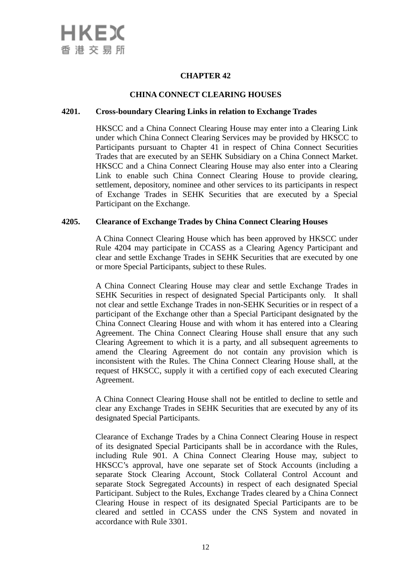## **CHINA CONNECT CLEARING HOUSES**

## **4201. Cross-boundary Clearing Links in relation to Exchange Trades**

HKSCC and a China Connect Clearing House may enter into a Clearing Link under which China Connect Clearing Services may be provided by HKSCC to Participants pursuant to Chapter 41 in respect of China Connect Securities Trades that are executed by an SEHK Subsidiary on a China Connect Market. HKSCC and a China Connect Clearing House may also enter into a Clearing Link to enable such China Connect Clearing House to provide clearing, settlement, depository, nominee and other services to its participants in respect of Exchange Trades in SEHK Securities that are executed by a Special Participant on the Exchange.

#### **4205. Clearance of Exchange Trades by China Connect Clearing Houses**

A China Connect Clearing House which has been approved by HKSCC under Rule 4204 may participate in CCASS as a Clearing Agency Participant and clear and settle Exchange Trades in SEHK Securities that are executed by one or more Special Participants, subject to these Rules.

A China Connect Clearing House may clear and settle Exchange Trades in SEHK Securities in respect of designated Special Participants only. It shall not clear and settle Exchange Trades in non-SEHK Securities or in respect of a participant of the Exchange other than a Special Participant designated by the China Connect Clearing House and with whom it has entered into a Clearing Agreement. The China Connect Clearing House shall ensure that any such Clearing Agreement to which it is a party, and all subsequent agreements to amend the Clearing Agreement do not contain any provision which is inconsistent with the Rules. The China Connect Clearing House shall, at the request of HKSCC, supply it with a certified copy of each executed Clearing Agreement.

A China Connect Clearing House shall not be entitled to decline to settle and clear any Exchange Trades in SEHK Securities that are executed by any of its designated Special Participants.

Clearance of Exchange Trades by a China Connect Clearing House in respect of its designated Special Participants shall be in accordance with the Rules, including Rule 901. A China Connect Clearing House may, subject to HKSCC's approval, have one separate set of Stock Accounts (including a separate Stock Clearing Account, Stock Collateral Control Account and separate Stock Segregated Accounts) in respect of each designated Special Participant. Subject to the Rules, Exchange Trades cleared by a China Connect Clearing House in respect of its designated Special Participants are to be cleared and settled in CCASS under the CNS System and novated in accordance with Rule 3301.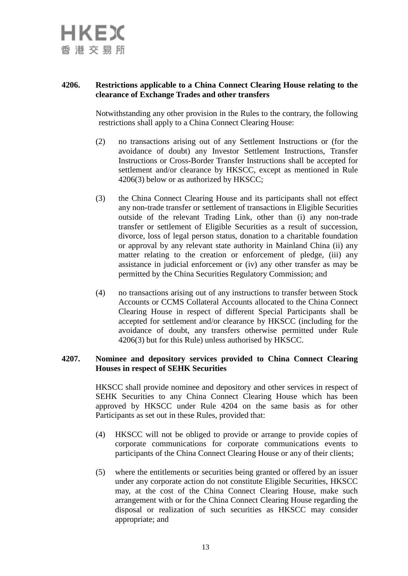

# **4206. Restrictions applicable to a China Connect Clearing House relating to the clearance of Exchange Trades and other transfers**

Notwithstanding any other provision in the Rules to the contrary, the following restrictions shall apply to a China Connect Clearing House:

- (2) no transactions arising out of any Settlement Instructions or (for the avoidance of doubt) any Investor Settlement Instructions, Transfer Instructions or Cross-Border Transfer Instructions shall be accepted for settlement and/or clearance by HKSCC, except as mentioned in Rule 4206(3) below or as authorized by HKSCC;
- (3) the China Connect Clearing House and its participants shall not effect any non-trade transfer or settlement of transactions in Eligible Securities outside of the relevant Trading Link, other than (i) any non-trade transfer or settlement of Eligible Securities as a result of succession, divorce, loss of legal person status, donation to a charitable foundation or approval by any relevant state authority in Mainland China (ii) any matter relating to the creation or enforcement of pledge, (iii) any assistance in judicial enforcement or (iv) any other transfer as may be permitted by the China Securities Regulatory Commission; and
- (4) no transactions arising out of any instructions to transfer between Stock Accounts or CCMS Collateral Accounts allocated to the China Connect Clearing House in respect of different Special Participants shall be accepted for settlement and/or clearance by HKSCC (including for the avoidance of doubt, any transfers otherwise permitted under Rule 4206(3) but for this Rule) unless authorised by HKSCC.

#### **4207. Nominee and depository services provided to China Connect Clearing Houses in respect of SEHK Securities**

HKSCC shall provide nominee and depository and other services in respect of SEHK Securities to any China Connect Clearing House which has been approved by HKSCC under Rule 4204 on the same basis as for other Participants as set out in these Rules, provided that:

- (4) HKSCC will not be obliged to provide or arrange to provide copies of corporate communications for corporate communications events to participants of the China Connect Clearing House or any of their clients;
- (5) where the entitlements or securities being granted or offered by an issuer under any corporate action do not constitute Eligible Securities, HKSCC may, at the cost of the China Connect Clearing House, make such arrangement with or for the China Connect Clearing House regarding the disposal or realization of such securities as HKSCC may consider appropriate; and